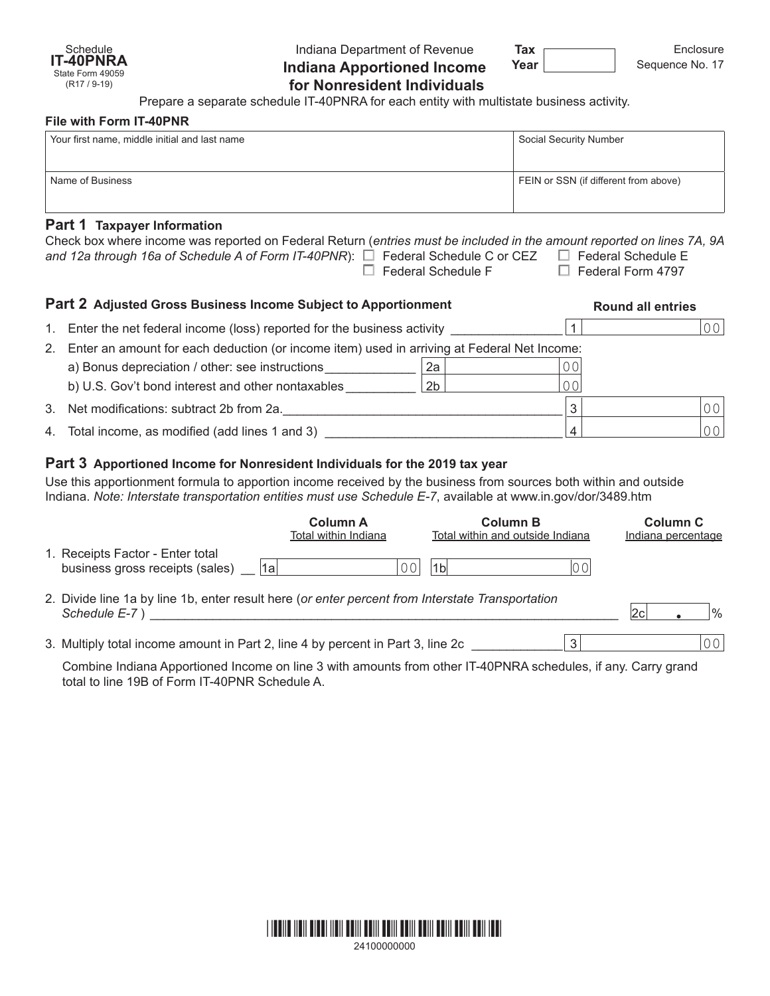

Indiana Department of Revenue **Indiana Apportioned Income for Nonresident Individuals**

**Tax Year**

Enclosure Sequence No. 17

Prepare a separate schedule IT-40PNRA for each entity with multistate business activity.

#### **File with Form IT-40PNR**

| Your first name, middle initial and last name | Social Security Number                |  |  |  |  |  |
|-----------------------------------------------|---------------------------------------|--|--|--|--|--|
|                                               |                                       |  |  |  |  |  |
| Name of Business                              | FEIN or SSN (if different from above) |  |  |  |  |  |
|                                               |                                       |  |  |  |  |  |
| Part 1 Taxpayer Information                   |                                       |  |  |  |  |  |

| Check box where income was reported on Federal Return (entries must be included in the amount reported on lines 7A, 9A |                           |                          |
|------------------------------------------------------------------------------------------------------------------------|---------------------------|--------------------------|
| and 12a through 16a of Schedule A of Form IT-40PNR): $\square$ Federal Schedule C or CEZ $\square$ Federal Schedule E  |                           |                          |
|                                                                                                                        | $\Box$ Federal Schedule F | $\Box$ Federal Form 4797 |
|                                                                                                                        |                           |                          |

| Part 2 Adjusted Gross Business Income Subject to Apportionment |                                                                                             |                |     | <b>Round all entries</b> |                |  |
|----------------------------------------------------------------|---------------------------------------------------------------------------------------------|----------------|-----|--------------------------|----------------|--|
| $1_{1}$                                                        | Enter the net federal income (loss) reported for the business activity                      |                |     |                          | 0 <sup>0</sup> |  |
| 2.                                                             | Enter an amount for each deduction (or income item) used in arriving at Federal Net Income: |                |     |                          |                |  |
|                                                                | a) Bonus depreciation / other: see instructions                                             | 2a             | 70. |                          |                |  |
|                                                                | b) U.S. Gov't bond interest and other nontaxables                                           | 2 <sub>b</sub> | 701 |                          |                |  |
|                                                                | 3. Net modifications: subtract 2b from 2a.                                                  |                | 3   |                          | 0 <sub>0</sub> |  |
|                                                                | 4. Total income, as modified (add lines 1 and 3)                                            |                |     |                          | 0 <sub>0</sub> |  |

# **Part 3 Apportioned Income for Nonresident Individuals for the 2019 tax year**

Use this apportionment formula to apportion income received by the business from sources both within and outside Indiana. *Note: Interstate transportation entities must use Schedule E-7*, available at [www.in.gov/dor/3489.htm](http://www.in.gov/dor/4570.htm)

|                                                                                                                   | <b>Column A</b><br>Total within Indiana | <b>Column B</b><br>Total within and outside Indiana |    | <b>Column C</b><br>Indiana percentage |      |
|-------------------------------------------------------------------------------------------------------------------|-----------------------------------------|-----------------------------------------------------|----|---------------------------------------|------|
| 1. Receipts Factor - Enter total<br>l1a<br>business gross receipts (sales)                                        | ΩO                                      | 1bl                                                 | 00 |                                       |      |
| 2. Divide line 1a by line 1b, enter result here (or enter percent from Interstate Transportation<br>Schedule E-7) |                                         |                                                     |    | l2c                                   | $\%$ |
| 3. Multiply total income amount in Part 2, line 4 by percent in Part 3, line 2c                                   |                                         |                                                     | 3  |                                       | 00   |

Combine Indiana Apportioned Income on line 3 with amounts from other IT-40PNRA schedules, if any. Carry grand total to line 19B of Form IT-40PNR Schedule A.